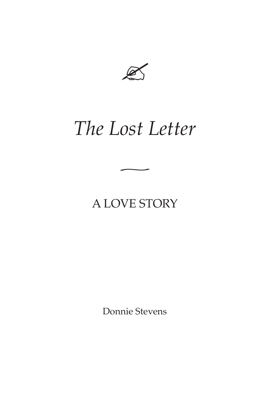

# *The Lost Letter ~*

### A LOVE STORY

Donnie Stevens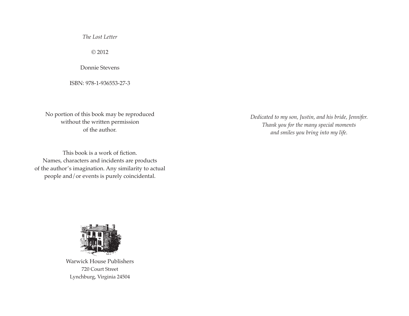*The Lost Letter*

© 2012

Donnie Stevens

ISBN: 978-1-936553-27-3

No portion of this book may be reproduced without the written permission of the author.

This book is a work of fiction. Names, characters and incidents are products of the author's imagination. Any similarity to actual people and/or events is purely coincidental.

*Dedicated to my son, Justin, and his bride, Jennifer. Thank you for the many special moments and smiles you bring into my life.*



Warwick House Publishers 720 Court Street Lynchburg, Virginia 24504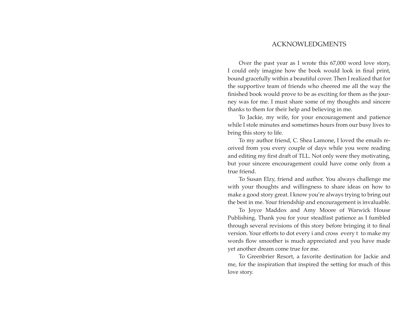#### ACKNOWLEDGMENTS

Over the past year as I wrote this 67,000 word love story, I could only imagine how the book would look in final print, bound gracefully within a beautiful cover. Then I realized that for the supportive team of friends who cheered me all the way the finished book would prove to be as exciting for them as the journey was for me. I must share some of my thoughts and sincere thanks to them for their help and believing in me.

To Jackie, my wife, for your encouragement and patience while I stole minutes and sometimes hours from our busy lives to bring this story to life.

To my author friend, C. Shea Lamone, I loved the emails received from you every couple of days while you were reading and editing my first draft of TLL. Not only were they motivating, but your sincere encouragement could have come only from a true friend.

To Susan Elzy, friend and author. You always challenge me with your thoughts and willingness to share ideas on how to make a good story great. I know you're always trying to bring out the best in me. Your friendship and encouragement is invaluable.

To Joyce Maddox and Amy Moore of Warwick House Publishing. Thank you for your steadfast patience as I fumbled through several revisions of this story before bringing it to final version. Your efforts to dot every i and cross every t to make my words flow smoother is much appreciated and you have made yet another dream come true for me.

To Greenbrier Resort, a favorite destination for Jackie and me, for the inspiration that inspired the setting for much of this love story.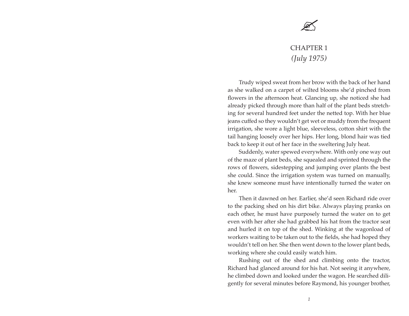## $\mathbb{Z}$

### CHAPTER 1 *(July 1975)*

Trudy wiped sweat from her brow with the back of her hand as she walked on a carpet of wilted blooms she'd pinched from flowers in the afternoon heat. Glancing up, she noticed she had already picked through more than half of the plant beds stretching for several hundred feet under the netted top. With her blue jeans cuffed so they wouldn't get wet or muddy from the frequent irrigation, she wore a light blue, sleeveless, cotton shirt with the tail hanging loosely over her hips. Her long, blond hair was tied back to keep it out of her face in the sweltering July heat.

Suddenly, water spewed everywhere. With only one way out of the maze of plant beds, she squealed and sprinted through the rows of flowers, sidestepping and jumping over plants the best she could. Since the irrigation system was turned on manually, she knew someone must have intentionally turned the water on her.

Then it dawned on her. Earlier, she'd seen Richard ride over to the packing shed on his dirt bike. Always playing pranks on each other, he must have purposely turned the water on to get even with her after she had grabbed his hat from the tractor seat and hurled it on top of the shed. Winking at the wagonload of workers waiting to be taken out to the fields, she had hoped they wouldn't tell on her. She then went down to the lower plant beds, working where she could easily watch him.

Rushing out of the shed and climbing onto the tractor, Richard had glanced around for his hat. Not seeing it anywhere, he climbed down and looked under the wagon. He searched diligently for several minutes before Raymond, his younger brother,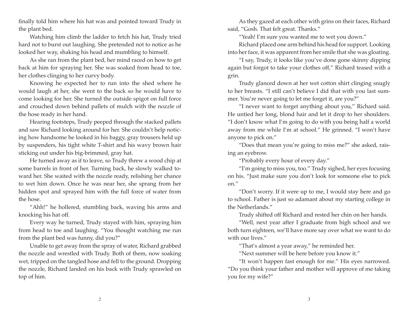finally told him where his hat was and pointed toward Trudy in the plant bed.

Watching him climb the ladder to fetch his hat, Trudy tried hard not to burst out laughing. She pretended not to notice as he looked her way, shaking his head and mumbling to himself.

As she ran from the plant bed, her mind raced on how to get back at him for spraying her. She was soaked from head to toe, her clothes clinging to her curvy body.

Knowing he expected her to run into the shed where he would laugh at her, she went to the back so he would have to come looking for her. She turned the outside spigot on full force and crouched down behind pallets of mulch with the nozzle of the hose ready in her hand.

Hearing footsteps, Trudy peeped through the stacked pallets and saw Richard looking around for her. She couldn't help noticing how handsome he looked in his baggy, gray trousers held up by suspenders, his tight white T-shirt and his wavy brown hair sticking out under his big-brimmed, gray hat.

He turned away as if to leave, so Trudy threw a wood chip at some barrels in front of her. Turning back, he slowly walked toward her. She waited with the nozzle ready, relishing her chance to wet him down. Once he was near her, she sprang from her hidden spot and sprayed him with the full force of water from the hose.

"Ahh!" he hollered, stumbling back, waving his arms and knocking his hat off.

Every way he turned, Trudy stayed with him, spraying him from head to toe and laughing. "You thought watching me run from the plant bed was funny, did you?"

Unable to get away from the spray of water, Richard grabbed the nozzle and wrestled with Trudy. Both of them, now soaking wet, tripped on the tangled hose and fell to the ground. Dropping the nozzle, Richard landed on his back with Trudy sprawled on top of him.

As they gazed at each other with grins on their faces, Richard said, "Gosh. That felt great. Thanks."

"Yeah! I'm sure you wanted me to wet you down."

Richard placed one arm behind his head for support. Looking into her face, it was apparent from her smile that she was gloating.

"I say, Trudy, it looks like you've done gone skinny dipping again but forgot to take your clothes off," Richard teased with a grin.

Trudy glanced down at her wet cotton shirt clinging snugly to her breasts. "I still can't believe I did that with you last summer. You're never going to let me forget it, are you?"

"I never want to forget anything about you," Richard said. He untied her long, blond hair and let it drop to her shoulders. "I don't know what I'm going to do with you being half a world away from me while I'm at school." He grinned. "I won't have anyone to pick on."

"Does that mean you're going to miss me?" she asked, raising an eyebrow.

"Probably every hour of every day."

"I'm going to miss you, too." Trudy sighed, her eyes focusing on his. "Just make sure you don't look for someone else to pick on."

"Don't worry. If it were up to me, I would stay here and go to school. Father is just so adamant about my starting college in the Netherlands."

Trudy shifted off Richard and rested her chin on her hands.

"Well, next year after I graduate from high school and we both turn eighteen, we'll have more say over what we want to do with our lives."

"That's almost a year away," he reminded her.

"Next summer will be here before you know it."

"It won't happen fast enough for me." His eyes narrowed. "Do you think your father and mother will approve of me taking you for my wife?"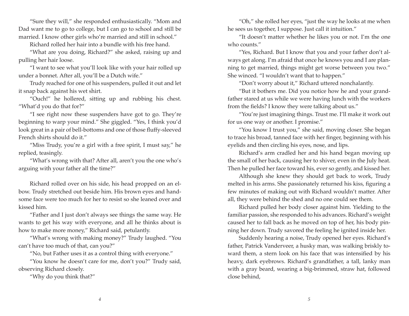"Sure they will," she responded enthusiastically. "Mom and Dad want me to go to college, but I can go to school and still be married. I know other girls who're married and still in school."

Richard rolled her hair into a bundle with his free hand.

"What are you doing, Richard?" she asked, raising up and pulling her hair loose.

"I want to see what you'll look like with your hair rolled up under a bonnet. After all, you'll be a Dutch wife."

Trudy reached for one of his suspenders, pulled it out and let it snap back against his wet shirt.

"Ouch!" he hollered, sitting up and rubbing his chest. "What'd you do that for?"

"I see right now these suspenders have got to go. They're beginning to warp your mind." She giggled. "Yes, I think you'd look great in a pair of bell-bottoms and one of those fluffy-sleeved French shirts should do it."

"Miss Trudy, you're a girl with a free spirit, I must say," he replied, teasingly.

"What's wrong with that? After all, aren't you the one who's arguing with your father all the time?"

Richard rolled over on his side, his head propped on an elbow. Trudy stretched out beside him. His brown eyes and handsome face were too much for her to resist so she leaned over and kissed him.

"Father and I just don't always see things the same way. He wants to get his way with everyone, and all he thinks about is how to make more money," Richard said, petulantly.

"What's wrong with making money?" Trudy laughed. "You can't have too much of that, can you?"

"No, but Father uses it as a control thing with everyone."

"You know he doesn't care for me, don't you?" Trudy said, observing Richard closely.

"Why do you think that?"

"Oh," she rolled her eyes, "just the way he looks at me when he sees us together, I suppose. Just call it intuition."

"It doesn't matter whether he likes you or not. I'm the one who counts."

"Yes, Richard. But I know that you and your father don't always get along. I'm afraid that once he knows you and I are planning to get married, things might get worse between you two." She winced. "I wouldn't want that to happen."

"Don't worry about it," Richard uttered nonchalantly.

"But it bothers me. Did you notice how he and your grandfather stared at us while we were having lunch with the workers from the fields? I know they were talking about us."

"You're just imagining things. Trust me. I'll make it work out for us one way or another. I promise."

"You know I trust you," she said, moving closer. She began to trace his broad, tanned face with her finger, beginning with his eyelids and then circling his eyes, nose, and lips.

Richard's arm cradled her and his hand began moving up the small of her back, causing her to shiver, even in the July heat. Then he pulled her face toward his, ever so gently, and kissed her.

Although she knew they should get back to work, Trudy melted in his arms. She passionately returned his kiss, figuring a few minutes of making out with Richard wouldn't matter. After all, they were behind the shed and no one could see them.

Richard pulled her body closer against him. Yielding to the familiar passion, she responded to his advances. Richard's weight caused her to fall back as he moved on top of her, his body pinning her down. Trudy savored the feeling he ignited inside her.

Suddenly hearing a noise, Trudy opened her eyes. Richard's father, Patrick Vanderveer, a husky man, was walking briskly toward them, a stern look on his face that was intensified by his heavy, dark eyebrows. Richard's grandfather, a tall, lanky man with a gray beard, wearing a big-brimmed, straw hat, followed close behind,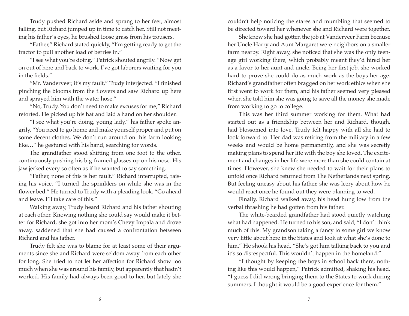Trudy pushed Richard aside and sprang to her feet, almost falling, but Richard jumped up in time to catch her. Still not meeting his father's eyes, he brushed loose grass from his trousers.

"Father," Richard stated quickly, "I'm getting ready to get the tractor to pull another load of berries in."

"I see what you're doing," Patrick shouted angrily. "Now get on out of here and back to work. I've got laborers waiting for you in the fields."

"Mr. Vanderveer, it's my fault," Trudy interjected. "I finished pinching the blooms from the flowers and saw Richard up here and sprayed him with the water hose."

"No, Trudy. You don't need to make excuses for me," Richard retorted. He picked up his hat and laid a hand on her shoulder.

"I see what you're doing, young lady," his father spoke angrily. "You need to go home and make yourself proper and put on some decent clothes. We don't run around on this farm looking like…" he gestured with his hand, searching for words.

The grandfather stood shifting from one foot to the other, continuously pushing his big-framed glasses up on his nose. His jaw jerked every so often as if he wanted to say something.

"Father, none of this is her fault," Richard interrupted, raising his voice. "I turned the sprinklers on while she was in the flower bed." He turned to Trudy with a pleading look. "Go ahead and leave. I'll take care of this."

Walking away, Trudy heard Richard and his father shouting at each other. Knowing nothing she could say would make it better for Richard, she got into her mom's Chevy Impala and drove away, saddened that she had caused a confrontation between Richard and his father.

Trudy felt she was to blame for at least some of their arguments since she and Richard were seldom away from each other for long. She tried to not let her affection for Richard show too much when she was around his family, but apparently that hadn't worked. His family had always been good to her, but lately she

couldn't help noticing the stares and mumbling that seemed to be directed toward her whenever she and Richard were together.

She knew she had gotten the job at Vanderveer Farm because her Uncle Harry and Aunt Margaret were neighbors on a smaller farm nearby. Right away, she noticed that she was the only teenage girl working there, which probably meant they'd hired her as a favor to her aunt and uncle. Being her first job, she worked hard to prove she could do as much work as the boys her age. Richard's grandfather often bragged on her work ethics when she first went to work for them, and his father seemed very pleased when she told him she was going to save all the money she made from working to go to college.

This was her third summer working for them. What had started out as a friendship between her and Richard, though, had blossomed into love. Trudy felt happy with all she had to look forward to. Her dad was retiring from the military in a few weeks and would be home permanently, and she was secretly making plans to spend her life with the boy she loved. The excitement and changes in her life were more than she could contain at times. However, she knew she needed to wait for their plans to unfold once Richard returned from The Netherlands next spring. But feeling uneasy about his father, she was leery about how he would react once he found out they were planning to wed.

Finally, Richard walked away, his head hung low from the verbal thrashing he had gotten from his father.

The white-bearded grandfather had stood quietly watching what had happened. He turned to his son, and said, "I don't think much of this. My grandson taking a fancy to some girl we know very little about here in the States and look at what she's done to him." He shook his head. "She's got him talking back to you and it's so disrespectful. This wouldn't happen in the homeland."

"I thought by keeping the boys in school back there, nothing like this would happen," Patrick admitted, shaking his head. "I guess I did wrong bringing them to the States to work during summers. I thought it would be a good experience for them."